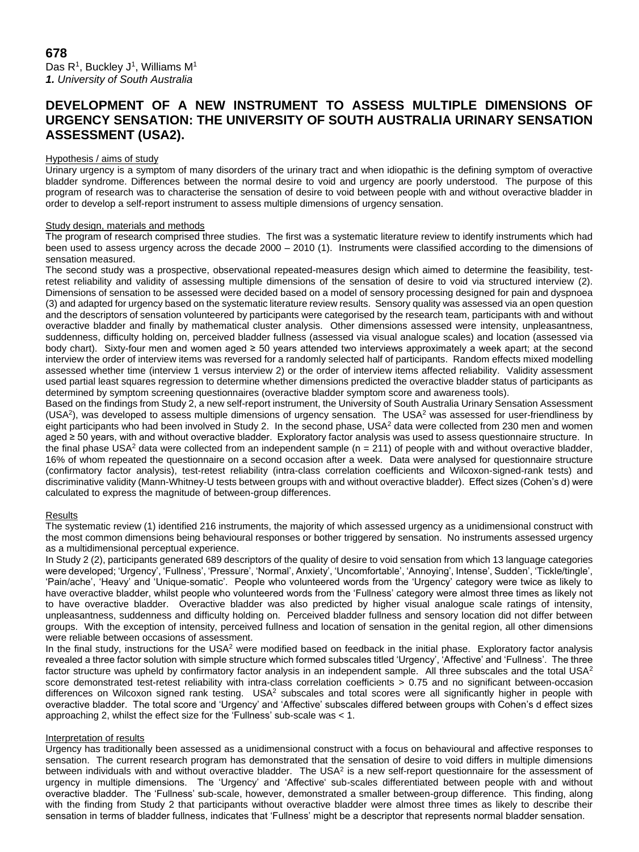# **DEVELOPMENT OF A NEW INSTRUMENT TO ASSESS MULTIPLE DIMENSIONS OF URGENCY SENSATION: THE UNIVERSITY OF SOUTH AUSTRALIA URINARY SENSATION ASSESSMENT (USA2).**

# Hypothesis / aims of study

Urinary urgency is a symptom of many disorders of the urinary tract and when idiopathic is the defining symptom of overactive bladder syndrome. Differences between the normal desire to void and urgency are poorly understood. The purpose of this program of research was to characterise the sensation of desire to void between people with and without overactive bladder in order to develop a self-report instrument to assess multiple dimensions of urgency sensation.

### Study design, materials and methods

The program of research comprised three studies. The first was a systematic literature review to identify instruments which had been used to assess urgency across the decade 2000 – 2010 (1). Instruments were classified according to the dimensions of sensation measured.

The second study was a prospective, observational repeated-measures design which aimed to determine the feasibility, testretest reliability and validity of assessing multiple dimensions of the sensation of desire to void via structured interview (2). Dimensions of sensation to be assessed were decided based on a model of sensory processing designed for pain and dyspnoea (3) and adapted for urgency based on the systematic literature review results. Sensory quality was assessed via an open question and the descriptors of sensation volunteered by participants were categorised by the research team, participants with and without overactive bladder and finally by mathematical cluster analysis. Other dimensions assessed were intensity, unpleasantness, suddenness, difficulty holding on, perceived bladder fullness (assessed via visual analogue scales) and location (assessed via body chart). Sixty-four men and women aged ≥ 50 years attended two interviews approximately a week apart; at the second interview the order of interview items was reversed for a randomly selected half of participants. Random effects mixed modelling assessed whether time (interview 1 versus interview 2) or the order of interview items affected reliability. Validity assessment used partial least squares regression to determine whether dimensions predicted the overactive bladder status of participants as determined by symptom screening questionnaires (overactive bladder symptom score and awareness tools).

Based on the findings from Study 2, a new self-report instrument, the University of South Australia Urinary Sensation Assessment (USA<sup>2</sup>), was developed to assess multiple dimensions of urgency sensation. The USA<sup>2</sup> was assessed for user-friendliness by eight participants who had been involved in Study 2. In the second phase, USA<sup>2</sup> data were collected from 230 men and women aged ≥ 50 years, with and without overactive bladder. Exploratory factor analysis was used to assess questionnaire structure. In the final phase USA<sup>2</sup> data were collected from an independent sample ( $n = 211$ ) of people with and without overactive bladder, 16% of whom repeated the questionnaire on a second occasion after a week. Data were analysed for questionnaire structure (confirmatory factor analysis), test-retest reliability (intra-class correlation coefficients and Wilcoxon-signed-rank tests) and discriminative validity (Mann-Whitney-U tests between groups with and without overactive bladder). Effect sizes (Cohen's d) were calculated to express the magnitude of between-group differences.

#### **Results**

The systematic review (1) identified 216 instruments, the majority of which assessed urgency as a unidimensional construct with the most common dimensions being behavioural responses or bother triggered by sensation. No instruments assessed urgency as a multidimensional perceptual experience.

In Study 2 (2), participants generated 689 descriptors of the quality of desire to void sensation from which 13 language categories were developed; 'Urgency', 'Fullness', 'Pressure', 'Normal', Anxiety', 'Uncomfortable', 'Annoying', Intense', Sudden', 'Tickle/tingle', 'Pain/ache', 'Heavy' and 'Unique-somatic'. People who volunteered words from the 'Urgency' category were twice as likely to have overactive bladder, whilst people who volunteered words from the 'Fullness' category were almost three times as likely not to have overactive bladder. Overactive bladder was also predicted by higher visual analogue scale ratings of intensity, unpleasantness, suddenness and difficulty holding on. Perceived bladder fullness and sensory location did not differ between groups. With the exception of intensity, perceived fullness and location of sensation in the genital region, all other dimensions were reliable between occasions of assessment.

In the final study, instructions for the USA<sup>2</sup> were modified based on feedback in the initial phase. Exploratory factor analysis revealed a three factor solution with simple structure which formed subscales titled 'Urgency', 'Affective' and 'Fullness'. The three factor structure was upheld by confirmatory factor analysis in an independent sample. All three subscales and the total USA<sup>2</sup> score demonstrated test-retest reliability with intra-class correlation coefficients > 0.75 and no significant between-occasion differences on Wilcoxon signed rank testing. USA<sup>2</sup> subscales and total scores were all significantly higher in people with overactive bladder. The total score and 'Urgency' and 'Affective' subscales differed between groups with Cohen's d effect sizes approaching 2, whilst the effect size for the 'Fullness' sub-scale was < 1.

#### Interpretation of results

Urgency has traditionally been assessed as a unidimensional construct with a focus on behavioural and affective responses to sensation. The current research program has demonstrated that the sensation of desire to void differs in multiple dimensions between individuals with and without overactive bladder. The USA<sup>2</sup> is a new self-report questionnaire for the assessment of urgency in multiple dimensions. The 'Urgency' and 'Affective' sub-scales differentiated between people with and without overactive bladder. The 'Fullness' sub-scale, however, demonstrated a smaller between-group difference. This finding, along with the finding from Study 2 that participants without overactive bladder were almost three times as likely to describe their sensation in terms of bladder fullness, indicates that 'Fullness' might be a descriptor that represents normal bladder sensation.